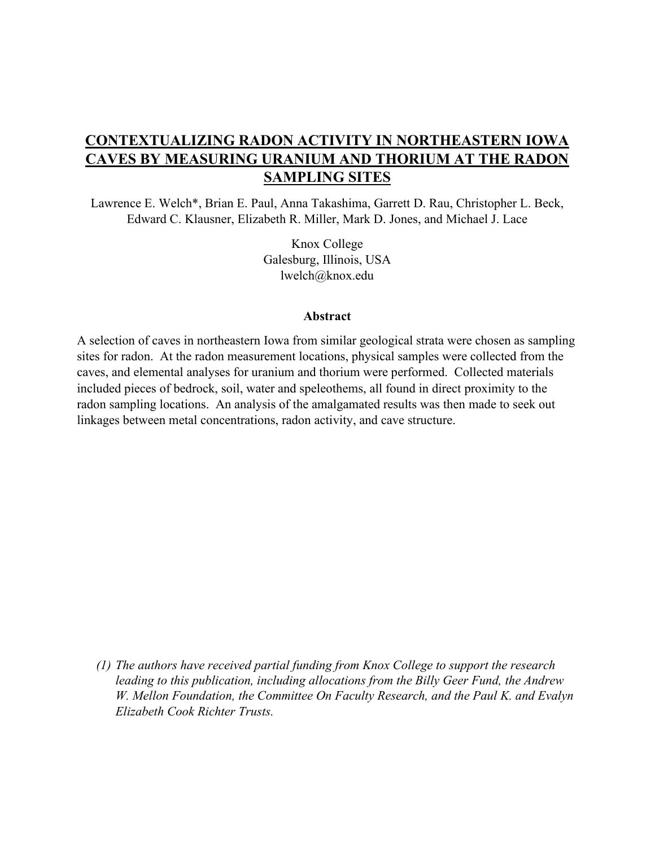# **CONTEXTUALIZING RADON ACTIVITY IN NORTHEASTERN IOWA CAVES BY MEASURING URANIUM AND THORIUM AT THE RADON SAMPLING SITES**

Lawrence E. Welch\*, Brian E. Paul, Anna Takashima, Garrett D. Rau, Christopher L. Beck, Edward C. Klausner, Elizabeth R. Miller, Mark D. Jones, and Michael J. Lace

> Knox College Galesburg, Illinois, USA lwelch@knox.edu

#### **Abstract**

A selection of caves in northeastern Iowa from similar geological strata were chosen as sampling sites for radon. At the radon measurement locations, physical samples were collected from the caves, and elemental analyses for uranium and thorium were performed. Collected materials included pieces of bedrock, soil, water and speleothems, all found in direct proximity to the radon sampling locations. An analysis of the amalgamated results was then made to seek out linkages between metal concentrations, radon activity, and cave structure.

*(1) The authors have received partial funding from Knox College to support the research leading to this publication, including allocations from the Billy Geer Fund, the Andrew W. Mellon Foundation, the Committee On Faculty Research, and the Paul K. and Evalyn Elizabeth Cook Richter Trusts.*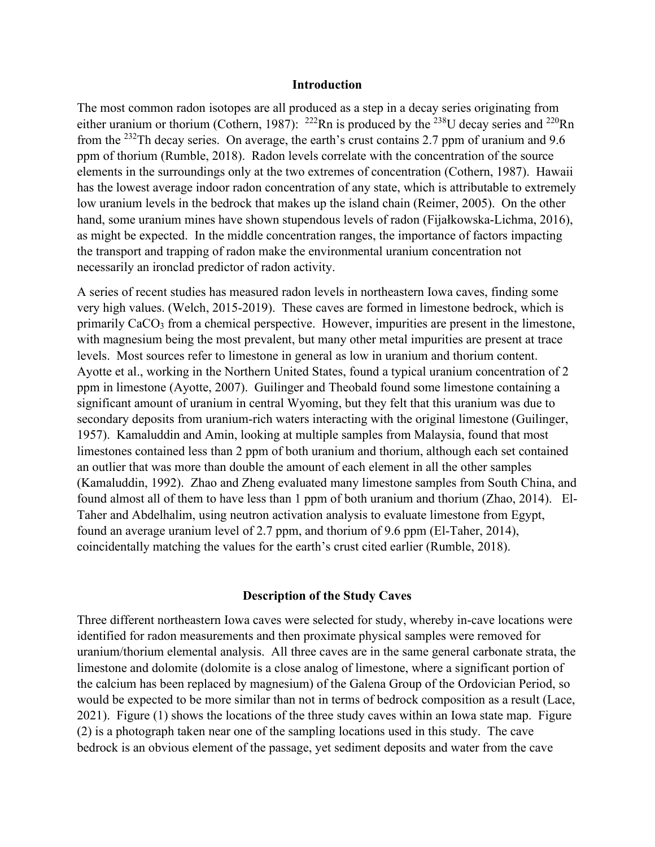### **Introduction**

The most common radon isotopes are all produced as a step in a decay series originating from either uranium or thorium (Cothern, 1987): <sup>222</sup>Rn is produced by the <sup>238</sup>U decay series and <sup>220</sup>Rn from the 232Th decay series. On average, the earth's crust contains 2.7 ppm of uranium and 9.6 ppm of thorium (Rumble, 2018). Radon levels correlate with the concentration of the source elements in the surroundings only at the two extremes of concentration (Cothern, 1987). Hawaii has the lowest average indoor radon concentration of any state, which is attributable to extremely low uranium levels in the bedrock that makes up the island chain (Reimer, 2005). On the other hand, some uranium mines have shown stupendous levels of radon (Fijałkowska-Lichma, 2016), as might be expected. In the middle concentration ranges, the importance of factors impacting the transport and trapping of radon make the environmental uranium concentration not necessarily an ironclad predictor of radon activity.

A series of recent studies has measured radon levels in northeastern Iowa caves, finding some very high values. (Welch, 2015-2019). These caves are formed in limestone bedrock, which is primarily CaCO<sub>3</sub> from a chemical perspective. However, impurities are present in the limestone, with magnesium being the most prevalent, but many other metal impurities are present at trace levels. Most sources refer to limestone in general as low in uranium and thorium content. Ayotte et al., working in the Northern United States, found a typical uranium concentration of 2 ppm in limestone (Ayotte, 2007). Guilinger and Theobald found some limestone containing a significant amount of uranium in central Wyoming, but they felt that this uranium was due to secondary deposits from uranium-rich waters interacting with the original limestone (Guilinger, 1957). Kamaluddin and Amin, looking at multiple samples from Malaysia, found that most limestones contained less than 2 ppm of both uranium and thorium, although each set contained an outlier that was more than double the amount of each element in all the other samples (Kamaluddin, 1992). Zhao and Zheng evaluated many limestone samples from South China, and found almost all of them to have less than 1 ppm of both uranium and thorium (Zhao, 2014). El-Taher and Abdelhalim, using neutron activation analysis to evaluate limestone from Egypt, found an average uranium level of 2.7 ppm, and thorium of 9.6 ppm (El-Taher, 2014), coincidentally matching the values for the earth's crust cited earlier (Rumble, 2018).

## **Description of the Study Caves**

Three different northeastern Iowa caves were selected for study, whereby in-cave locations were identified for radon measurements and then proximate physical samples were removed for uranium/thorium elemental analysis. All three caves are in the same general carbonate strata, the limestone and dolomite (dolomite is a close analog of limestone, where a significant portion of the calcium has been replaced by magnesium) of the Galena Group of the Ordovician Period, so would be expected to be more similar than not in terms of bedrock composition as a result (Lace, 2021). Figure (1) shows the locations of the three study caves within an Iowa state map. Figure (2) is a photograph taken near one of the sampling locations used in this study. The cave bedrock is an obvious element of the passage, yet sediment deposits and water from the cave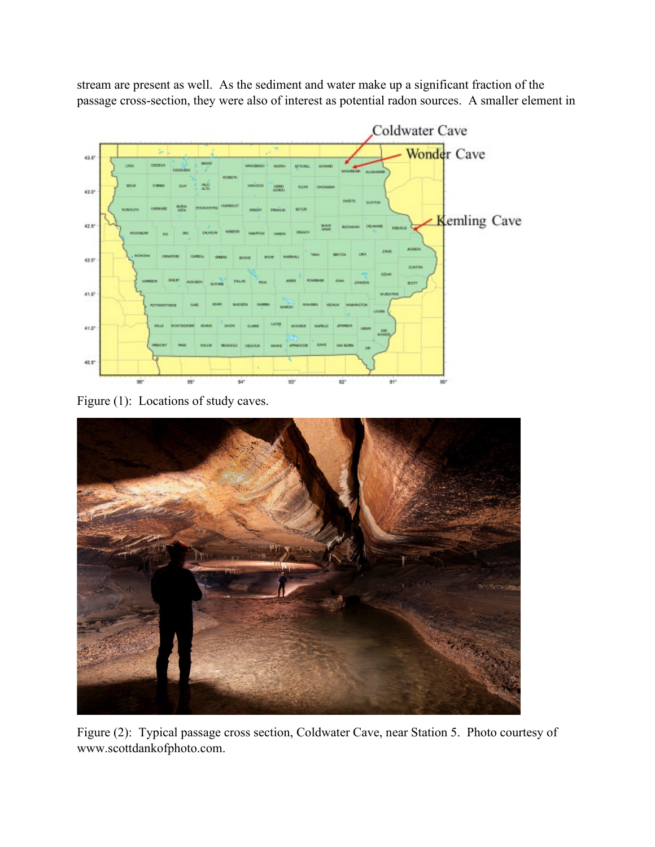stream are present as well. As the sediment and water make up a significant fraction of the passage cross-section, they were also of interest as potential radon sources. A smaller element in



Figure (1): Locations of study caves.



Figure (2): Typical passage cross section, Coldwater Cave, near Station 5. Photo courtesy of www.scottdankofphoto.com.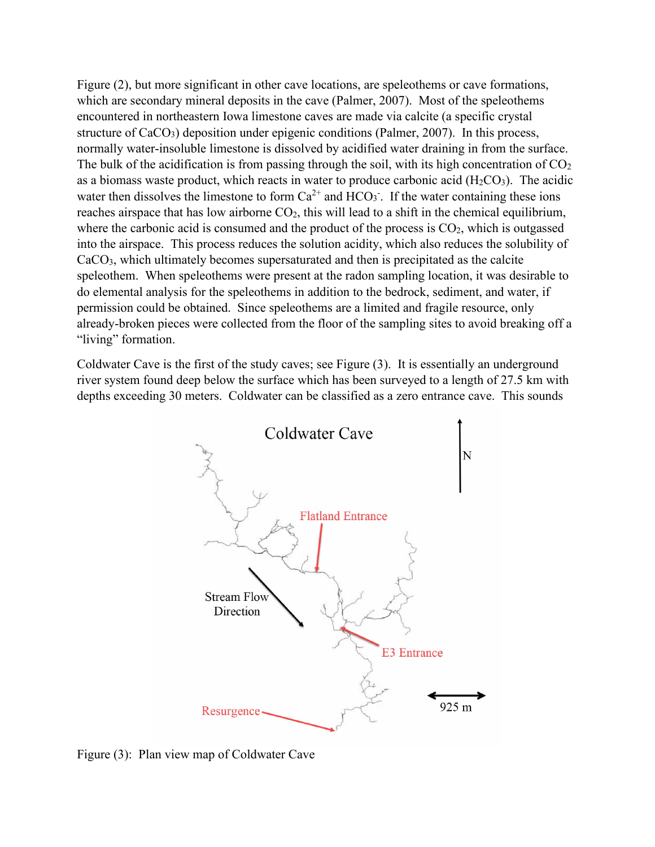Figure (2), but more significant in other cave locations, are speleothems or cave formations, which are secondary mineral deposits in the cave (Palmer, 2007). Most of the speleothems encountered in northeastern Iowa limestone caves are made via calcite (a specific crystal structure of CaCO<sub>3</sub>) deposition under epigenic conditions (Palmer, 2007). In this process, normally water-insoluble limestone is dissolved by acidified water draining in from the surface. The bulk of the acidification is from passing through the soil, with its high concentration of  $CO<sub>2</sub>$ as a biomass waste product, which reacts in water to produce carbonic acid  $(H_2CO_3)$ . The acidic water then dissolves the limestone to form  $Ca^{2+}$  and  $HCO_3$ . If the water containing these ions reaches airspace that has low airborne CO<sub>2</sub>, this will lead to a shift in the chemical equilibrium, where the carbonic acid is consumed and the product of the process is  $CO<sub>2</sub>$ , which is outgassed into the airspace. This process reduces the solution acidity, which also reduces the solubility of CaCO3, which ultimately becomes supersaturated and then is precipitated as the calcite speleothem. When speleothems were present at the radon sampling location, it was desirable to do elemental analysis for the speleothems in addition to the bedrock, sediment, and water, if permission could be obtained. Since speleothems are a limited and fragile resource, only already-broken pieces were collected from the floor of the sampling sites to avoid breaking off a "living" formation.

Coldwater Cave is the first of the study caves; see Figure (3). It is essentially an underground river system found deep below the surface which has been surveyed to a length of 27.5 km with depths exceeding 30 meters. Coldwater can be classified as a zero entrance cave. This sounds



Figure (3): Plan view map of Coldwater Cave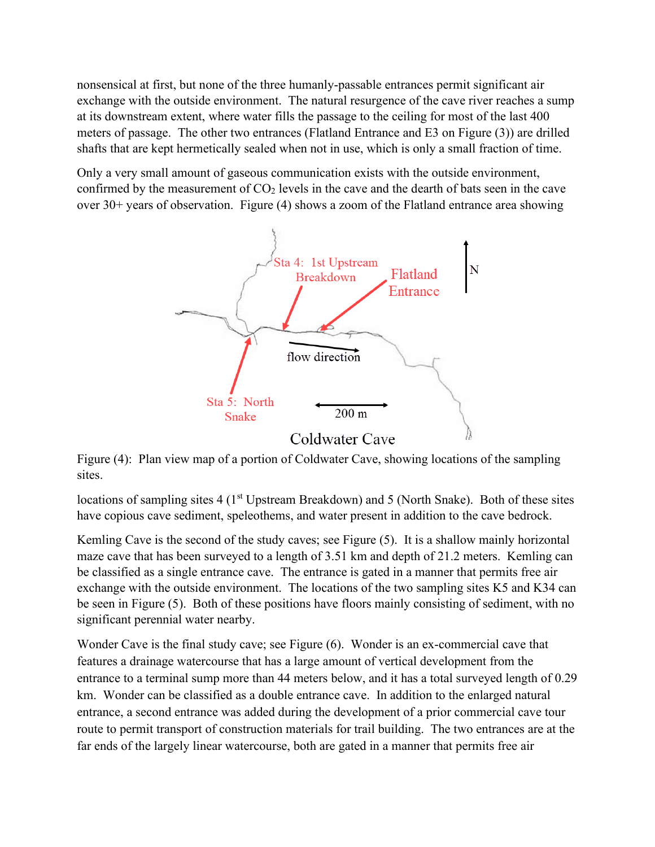nonsensical at first, but none of the three humanly-passable entrances permit significant air exchange with the outside environment. The natural resurgence of the cave river reaches a sump at its downstream extent, where water fills the passage to the ceiling for most of the last 400 meters of passage. The other two entrances (Flatland Entrance and E3 on Figure (3)) are drilled shafts that are kept hermetically sealed when not in use, which is only a small fraction of time.

Only a very small amount of gaseous communication exists with the outside environment, confirmed by the measurement of  $CO<sub>2</sub>$  levels in the cave and the dearth of bats seen in the cave over 30+ years of observation. Figure (4) shows a zoom of the Flatland entrance area showing



Figure (4): Plan view map of a portion of Coldwater Cave, showing locations of the sampling sites.

locations of sampling sites 4 (1<sup>st</sup> Upstream Breakdown) and 5 (North Snake). Both of these sites have copious cave sediment, speleothems, and water present in addition to the cave bedrock.

Kemling Cave is the second of the study caves; see Figure (5). It is a shallow mainly horizontal maze cave that has been surveyed to a length of 3.51 km and depth of 21.2 meters. Kemling can be classified as a single entrance cave. The entrance is gated in a manner that permits free air exchange with the outside environment. The locations of the two sampling sites K5 and K34 can be seen in Figure (5). Both of these positions have floors mainly consisting of sediment, with no significant perennial water nearby.

Wonder Cave is the final study cave; see Figure (6). Wonder is an ex-commercial cave that features a drainage watercourse that has a large amount of vertical development from the entrance to a terminal sump more than 44 meters below, and it has a total surveyed length of 0.29 km. Wonder can be classified as a double entrance cave. In addition to the enlarged natural entrance, a second entrance was added during the development of a prior commercial cave tour route to permit transport of construction materials for trail building. The two entrances are at the far ends of the largely linear watercourse, both are gated in a manner that permits free air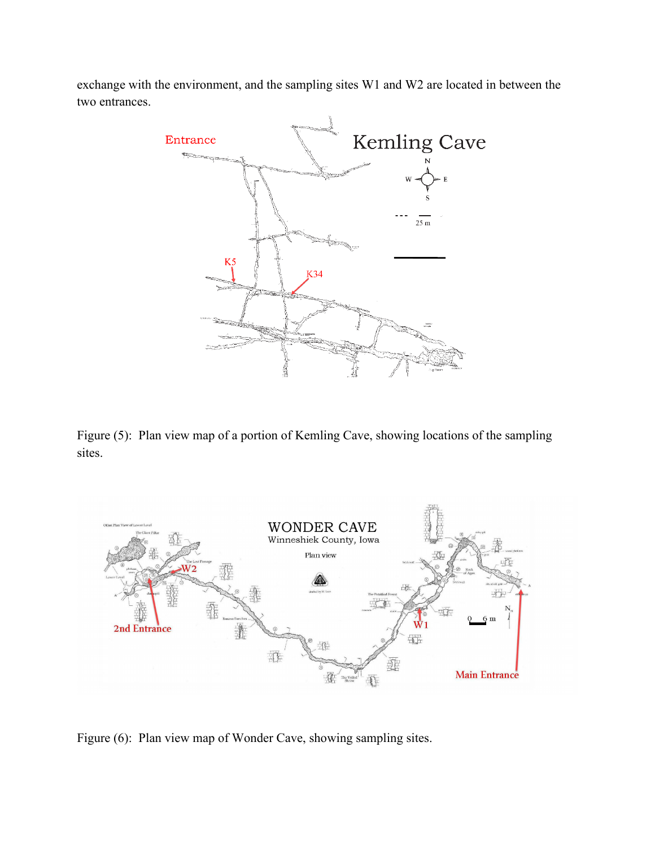exchange with the environment, and the sampling sites W1 and W2 are located in between the two entrances.



Figure (5): Plan view map of a portion of Kemling Cave, showing locations of the sampling sites.



Figure (6): Plan view map of Wonder Cave, showing sampling sites.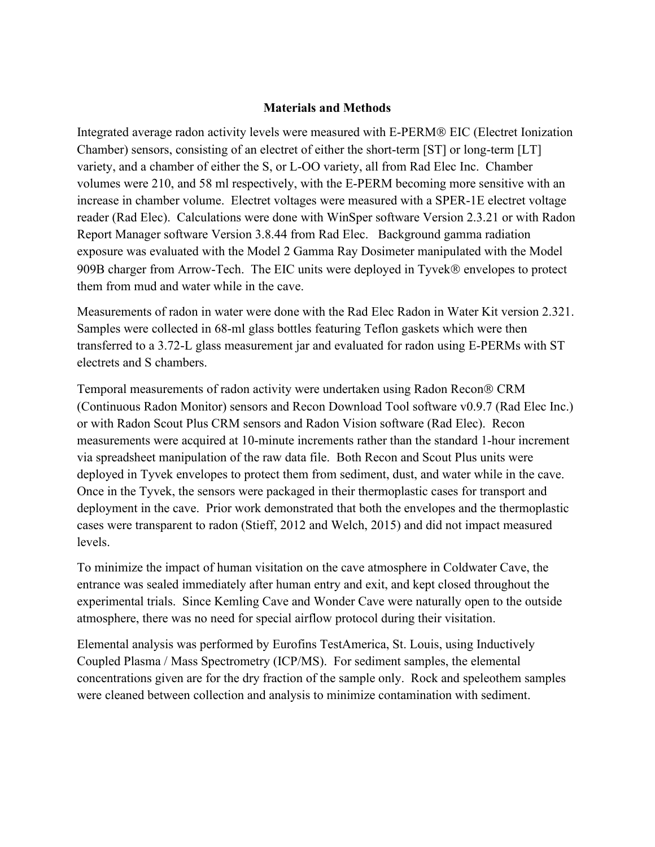## **Materials and Methods**

Integrated average radon activity levels were measured with E-PERM® EIC (Electret Ionization Chamber) sensors, consisting of an electret of either the short-term [ST] or long-term [LT] variety, and a chamber of either the S, or L-OO variety, all from Rad Elec Inc. Chamber volumes were 210, and 58 ml respectively, with the E-PERM becoming more sensitive with an increase in chamber volume. Electret voltages were measured with a SPER-1E electret voltage reader (Rad Elec). Calculations were done with WinSper software Version 2.3.21 or with Radon Report Manager software Version 3.8.44 from Rad Elec. Background gamma radiation exposure was evaluated with the Model 2 Gamma Ray Dosimeter manipulated with the Model 909B charger from Arrow-Tech. The EIC units were deployed in Tyvek® envelopes to protect them from mud and water while in the cave.

Measurements of radon in water were done with the Rad Elec Radon in Water Kit version 2.321. Samples were collected in 68-ml glass bottles featuring Teflon gaskets which were then transferred to a 3.72-L glass measurement jar and evaluated for radon using E-PERMs with ST electrets and S chambers.

Temporal measurements of radon activity were undertaken using Radon Recon<sup>®</sup> CRM (Continuous Radon Monitor) sensors and Recon Download Tool software v0.9.7 (Rad Elec Inc.) or with Radon Scout Plus CRM sensors and Radon Vision software (Rad Elec). Recon measurements were acquired at 10-minute increments rather than the standard 1-hour increment via spreadsheet manipulation of the raw data file. Both Recon and Scout Plus units were deployed in Tyvek envelopes to protect them from sediment, dust, and water while in the cave. Once in the Tyvek, the sensors were packaged in their thermoplastic cases for transport and deployment in the cave. Prior work demonstrated that both the envelopes and the thermoplastic cases were transparent to radon (Stieff, 2012 and Welch, 2015) and did not impact measured levels.

To minimize the impact of human visitation on the cave atmosphere in Coldwater Cave, the entrance was sealed immediately after human entry and exit, and kept closed throughout the experimental trials. Since Kemling Cave and Wonder Cave were naturally open to the outside atmosphere, there was no need for special airflow protocol during their visitation.

Elemental analysis was performed by Eurofins TestAmerica, St. Louis, using Inductively Coupled Plasma / Mass Spectrometry (ICP/MS). For sediment samples, the elemental concentrations given are for the dry fraction of the sample only. Rock and speleothem samples were cleaned between collection and analysis to minimize contamination with sediment.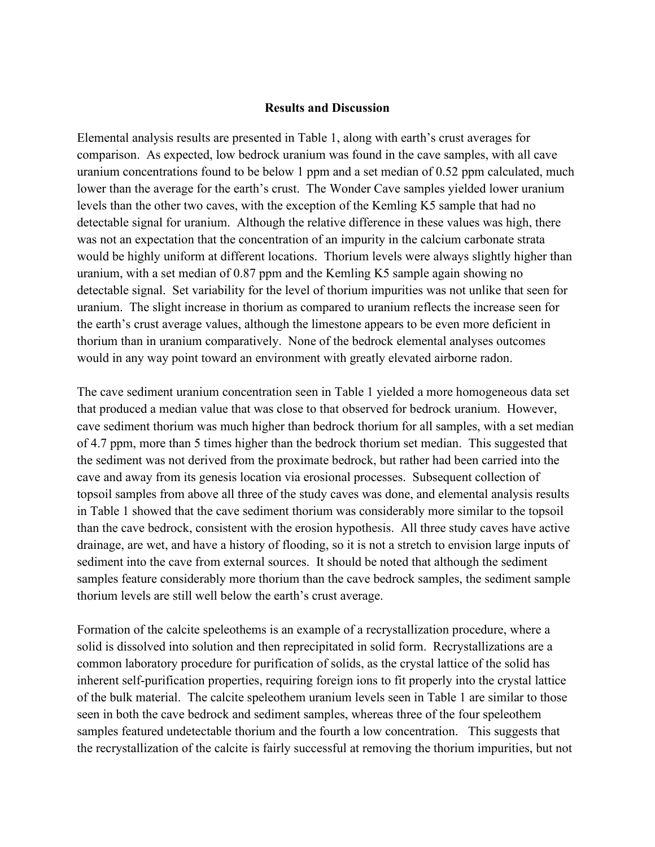## **Results and Discussion**

Elemental analysis results are presented in Table 1, along with earth's crust averages for comparison. As expected, low bedrock uranium was found in the cave samples, with all cave uranium concentrations found to be below 1 ppm and a set median of 0.52 ppm calculated, much lower than the average for the earth's crust. The Wonder Cave samples yielded lower uranium levels than the other two caves, with the exception of the Kemling K5 sample that had no detectable signal for uranium. Although the relative difference in these values was high, there was not an expectation that the concentration of an impurity in the calcium carbonate strata would be highly uniform at different locations. Thorium levels were always slightly higher than uranium, with a set median of 0.87 ppm and the Kemling K5 sample again showing no detectable signal. Set variability for the level of thorium impurities was not unlike that seen for uranium. The slight increase in thorium as compared to uranium reflects the increase seen for the earth's crust average values, although the limestone appears to be even more deficient in thorium than in uranium comparatively. None of the bedrock elemental analyses outcomes would in any way point toward an environment with greatly elevated airborne radon.

The cave sediment uranium concentration seen in Table 1 yielded a more homogeneous data set that produced a median value that was close to that observed for bedrock uranium. However, cave sediment thorium was much higher than bedrock thorium for all samples, with a set median of 4.7 ppm, more than 5 times higher than the bedrock thorium set median. This suggested that the sediment was not derived from the proximate bedrock, but rather had been carried into the cave and away from its genesis location via erosional processes. Subsequent collection of topsoil samples from above all three of the study caves was done, and elemental analysis results in Table 1 showed that the cave sediment thorium was considerably more similar to the topsoil than the cave bedrock, consistent with the erosion hypothesis. All three study caves have active drainage, are wet, and have a history of flooding, so it is not a stretch to envision large inputs of sediment into the cave from external sources. It should be noted that although the sediment samples feature considerably more thorium than the cave bedrock samples, the sediment sample thorium levels are still well below the earth's crust average.

Formation of the calcite speleothems is an example of a recrystallization procedure, where a solid is dissolved into solution and then reprecipitated in solid form. Recrystallizations are a common laboratory procedure for purification of solids, as the crystal lattice of the solid has inherent self-purification properties, requiring foreign ions to fit properly into the crystal lattice of the bulk material. The calcite speleothem uranium levels seen in Table 1 are similar to those seen in both the cave bedrock and sediment samples, whereas three of the four speleothem samples featured undetectable thorium and the fourth a low concentration. This suggests that the recrystallization of the calcite is fairly successful at removing the thorium impurities, but not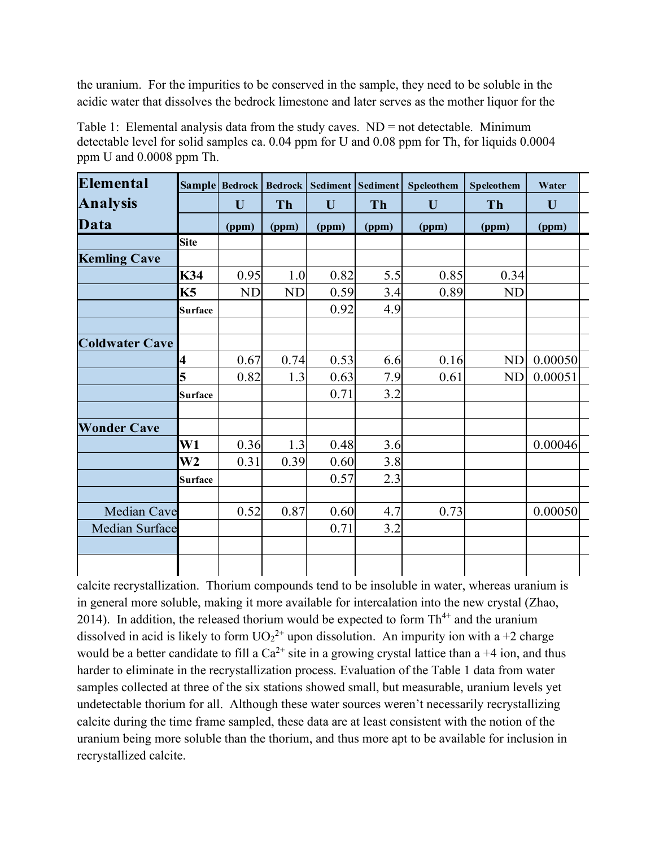the uranium. For the impurities to be conserved in the sample, they need to be soluble in the acidic water that dissolves the bedrock limestone and later serves as the mother liquor for the

| Elemental             | <b>Sample</b>  | <b>Bedrock</b> | <b>Bedrock</b> | <b>Sediment</b> | <b>Sediment</b> | Speleothem | Speleothem | Water   |  |
|-----------------------|----------------|----------------|----------------|-----------------|-----------------|------------|------------|---------|--|
| <b>Analysis</b>       |                | U              | Th             | U               | Th              | U          | Th         | U       |  |
| Data                  |                | (ppm)          | (ppm)          | (ppm)           | (ppm)           | (ppm)      | (ppm)      | (ppm)   |  |
|                       | <b>Site</b>    |                |                |                 |                 |            |            |         |  |
| <b>Kemling Cave</b>   |                |                |                |                 |                 |            |            |         |  |
|                       | K34            | 0.95           | 1.0            | 0.82            | 5.5             | 0.85       | 0.34       |         |  |
|                       | <b>K5</b>      | <b>ND</b>      | <b>ND</b>      | 0.59            | 3.4             | 0.89       | <b>ND</b>  |         |  |
|                       | <b>Surface</b> |                |                | 0.92            | 4.9             |            |            |         |  |
|                       |                |                |                |                 |                 |            |            |         |  |
| <b>Coldwater Cave</b> |                |                |                |                 |                 |            |            |         |  |
|                       | 4              | 0.67           | 0.74           | 0.53            | 6.6             | 0.16       | <b>ND</b>  | 0.00050 |  |
|                       | 5              | 0.82           | 1.3            | 0.63            | 7.9             | 0.61       | <b>ND</b>  | 0.00051 |  |
|                       | <b>Surface</b> |                |                | 0.71            | 3.2             |            |            |         |  |
| <b>Wonder Cave</b>    |                |                |                |                 |                 |            |            |         |  |
|                       | W1             | 0.36           | 1.3            | 0.48            | 3.6             |            |            | 0.00046 |  |
|                       | W <sub>2</sub> | 0.31           | 0.39           | 0.60            | 3.8             |            |            |         |  |
|                       | <b>Surface</b> |                |                | 0.57            | 2.3             |            |            |         |  |
|                       |                |                |                |                 |                 |            |            |         |  |
| Median Cave           |                | 0.52           | 0.87           | 0.60            | 4.7             | 0.73       |            | 0.00050 |  |
| <b>Median Surface</b> |                |                |                | 0.71            | 3.2             |            |            |         |  |
|                       |                |                |                |                 |                 |            |            |         |  |
|                       |                |                |                |                 |                 |            |            |         |  |

Table 1: Elemental analysis data from the study caves. ND = not detectable. Minimum detectable level for solid samples ca. 0.04 ppm for U and 0.08 ppm for Th, for liquids 0.0004 ppm U and 0.0008 ppm Th.

calcite recrystallization. Thorium compounds tend to be insoluble in water, whereas uranium is in general more soluble, making it more available for intercalation into the new crystal (Zhao, 2014). In addition, the released thorium would be expected to form  $Th^{4+}$  and the uranium dissolved in acid is likely to form  $UO_2^{2+}$  upon dissolution. An impurity ion with a +2 charge would be a better candidate to fill a  $Ca^{2+}$  site in a growing crystal lattice than a +4 ion, and thus harder to eliminate in the recrystallization process. Evaluation of the Table 1 data from water samples collected at three of the six stations showed small, but measurable, uranium levels yet undetectable thorium for all. Although these water sources weren't necessarily recrystallizing calcite during the time frame sampled, these data are at least consistent with the notion of the uranium being more soluble than the thorium, and thus more apt to be available for inclusion in recrystallized calcite.

 $\mathbf{I}$ 

 $\mathsf{l}$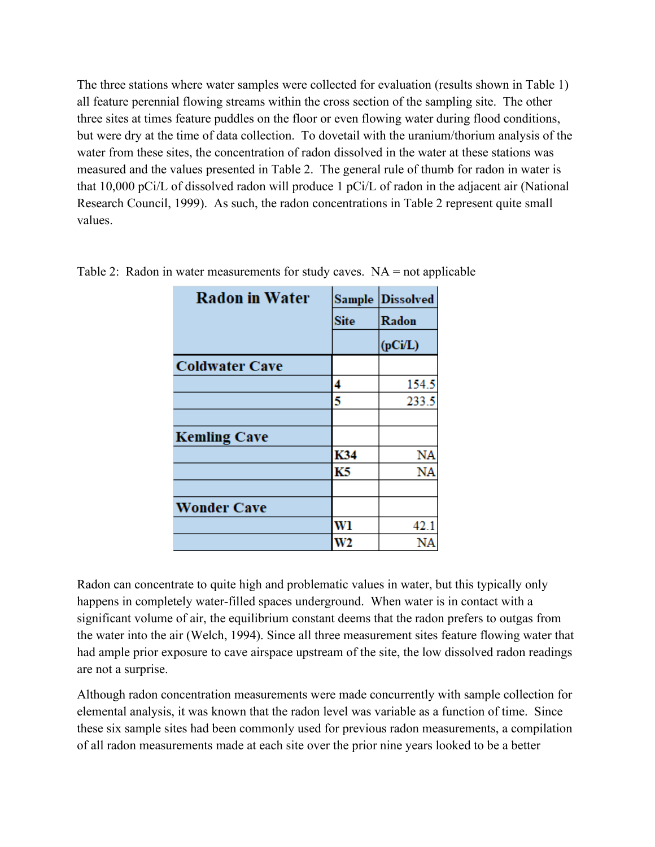The three stations where water samples were collected for evaluation (results shown in Table 1) all feature perennial flowing streams within the cross section of the sampling site. The other three sites at times feature puddles on the floor or even flowing water during flood conditions, but were dry at the time of data collection. To dovetail with the uranium/thorium analysis of the water from these sites, the concentration of radon dissolved in the water at these stations was measured and the values presented in Table 2. The general rule of thumb for radon in water is that 10,000 pCi/L of dissolved radon will produce 1 pCi/L of radon in the adjacent air (National Research Council, 1999). As such, the radon concentrations in Table 2 represent quite small values.

| <b>Radon in Water</b> | <b>Sample</b> | <b>Dissolved</b> |  |  |
|-----------------------|---------------|------------------|--|--|
|                       | <b>Site</b>   | Radon            |  |  |
|                       |               | (pCi/L)          |  |  |
| <b>Coldwater Cave</b> |               |                  |  |  |
|                       | 4             | 154.5            |  |  |
|                       | 5             | 233.5            |  |  |
|                       |               |                  |  |  |
| <b>Kemling Cave</b>   |               |                  |  |  |
|                       | K34           | NA               |  |  |
|                       | K5            | NA               |  |  |
|                       |               |                  |  |  |
| <b>Wonder Cave</b>    |               |                  |  |  |
|                       | Wl            | 42.1             |  |  |
|                       | W2            | ΝA               |  |  |

Table 2: Radon in water measurements for study caves.  $NA = not$  applicable

Radon can concentrate to quite high and problematic values in water, but this typically only happens in completely water-filled spaces underground. When water is in contact with a significant volume of air, the equilibrium constant deems that the radon prefers to outgas from the water into the air (Welch, 1994). Since all three measurement sites feature flowing water that had ample prior exposure to cave airspace upstream of the site, the low dissolved radon readings are not a surprise.

Although radon concentration measurements were made concurrently with sample collection for elemental analysis, it was known that the radon level was variable as a function of time. Since these six sample sites had been commonly used for previous radon measurements, a compilation of all radon measurements made at each site over the prior nine years looked to be a better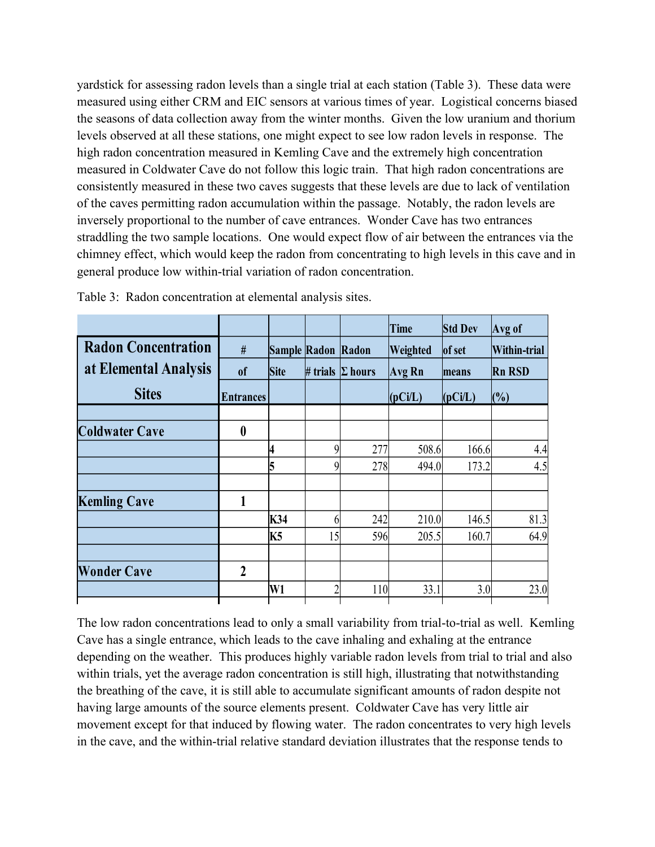yardstick for assessing radon levels than a single trial at each station (Table 3). These data were measured using either CRM and EIC sensors at various times of year. Logistical concerns biased the seasons of data collection away from the winter months. Given the low uranium and thorium levels observed at all these stations, one might expect to see low radon levels in response. The high radon concentration measured in Kemling Cave and the extremely high concentration measured in Coldwater Cave do not follow this logic train. That high radon concentrations are consistently measured in these two caves suggests that these levels are due to lack of ventilation of the caves permitting radon accumulation within the passage. Notably, the radon levels are inversely proportional to the number of cave entrances. Wonder Cave has two entrances straddling the two sample locations. One would expect flow of air between the entrances via the chimney effect, which would keep the radon from concentrating to high levels in this cave and in general produce low within-trial variation of radon concentration.

|                            |                  |             |                           |                         | Time     | <b>Std Dev</b>             | Avg of                               |
|----------------------------|------------------|-------------|---------------------------|-------------------------|----------|----------------------------|--------------------------------------|
| <b>Radon Concentration</b> | #                | <b>Site</b> | <b>Sample Radon Radon</b> |                         | Weighted | of set<br>means<br>(pCi/L) | Within-trial<br><b>Rn RSD</b><br>(%) |
| at Elemental Analysis      | <sub>of</sub>    |             |                           | # trials $\Sigma$ hours | Avg Rn   |                            |                                      |
| <b>Sites</b>               | <b>Entrances</b> |             |                           |                         | (pCi/L)  |                            |                                      |
| <b>Coldwater Cave</b>      | $\boldsymbol{0}$ |             |                           |                         |          |                            |                                      |
|                            |                  | 4           | 9                         | 277                     | 508.6    | 166.6                      | 4.4                                  |
|                            |                  | 5           | 9                         | 278                     | 494.0    | 173.2                      | 4.5                                  |
| <b>Kemling Cave</b>        | 1                |             |                           |                         |          |                            |                                      |
|                            |                  | K34         | 6                         | 242                     | 210.0    | 146.5                      | 81.3                                 |
|                            |                  | K5          | 15                        | 596                     | 205.5    | 160.7                      | 64.9                                 |
| <b>Wonder Cave</b>         | $\overline{2}$   |             |                           |                         |          |                            |                                      |
|                            |                  | W1          | າ                         | 110                     | 33.1     | 3.0                        | 23.0                                 |

Table 3: Radon concentration at elemental analysis sites.

The low radon concentrations lead to only a small variability from trial-to-trial as well. Kemling Cave has a single entrance, which leads to the cave inhaling and exhaling at the entrance depending on the weather. This produces highly variable radon levels from trial to trial and also within trials, yet the average radon concentration is still high, illustrating that notwithstanding the breathing of the cave, it is still able to accumulate significant amounts of radon despite not having large amounts of the source elements present. Coldwater Cave has very little air movement except for that induced by flowing water. The radon concentrates to very high levels in the cave, and the within-trial relative standard deviation illustrates that the response tends to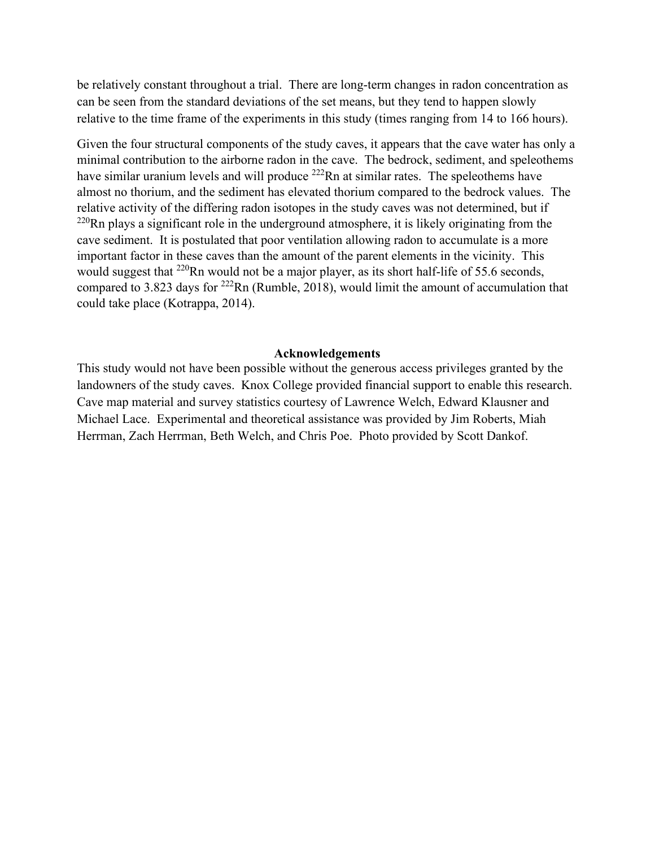be relatively constant throughout a trial. There are long-term changes in radon concentration as can be seen from the standard deviations of the set means, but they tend to happen slowly relative to the time frame of the experiments in this study (times ranging from 14 to 166 hours).

Given the four structural components of the study caves, it appears that the cave water has only a minimal contribution to the airborne radon in the cave. The bedrock, sediment, and speleothems have similar uranium levels and will produce <sup>222</sup>Rn at similar rates. The speleothems have almost no thorium, and the sediment has elevated thorium compared to the bedrock values. The relative activity of the differing radon isotopes in the study caves was not determined, but if  $^{220}$ Rn plays a significant role in the underground atmosphere, it is likely originating from the cave sediment. It is postulated that poor ventilation allowing radon to accumulate is a more important factor in these caves than the amount of the parent elements in the vicinity. This would suggest that  $^{220}$ Rn would not be a major player, as its short half-life of 55.6 seconds, compared to 3.823 days for  $^{222}$ Rn (Rumble, 2018), would limit the amount of accumulation that could take place (Kotrappa, 2014).

## **Acknowledgements**

This study would not have been possible without the generous access privileges granted by the landowners of the study caves. Knox College provided financial support to enable this research. Cave map material and survey statistics courtesy of Lawrence Welch, Edward Klausner and Michael Lace. Experimental and theoretical assistance was provided by Jim Roberts, Miah Herrman, Zach Herrman, Beth Welch, and Chris Poe. Photo provided by Scott Dankof.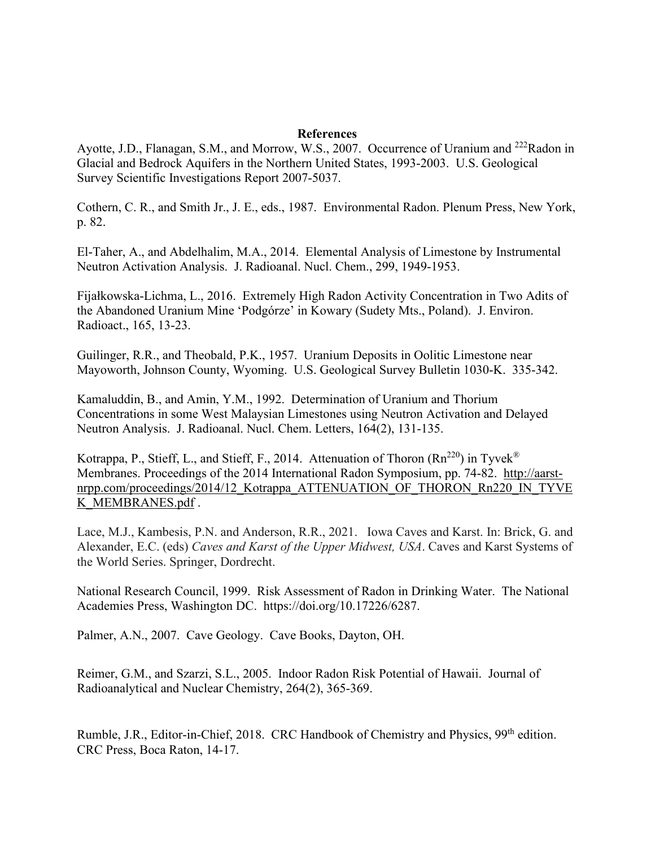## **References**

Ayotte, J.D., Flanagan, S.M., and Morrow, W.S., 2007. Occurrence of Uranium and <sup>222</sup>Radon in Glacial and Bedrock Aquifers in the Northern United States, 1993-2003. U.S. Geological Survey Scientific Investigations Report 2007-5037.

Cothern, C. R., and Smith Jr., J. E., eds., 1987. Environmental Radon. Plenum Press, New York, p. 82.

El-Taher, A., and Abdelhalim, M.A., 2014. Elemental Analysis of Limestone by Instrumental Neutron Activation Analysis. J. Radioanal. Nucl. Chem., 299, 1949-1953.

Fijałkowska-Lichma, L., 2016. Extremely High Radon Activity Concentration in Two Adits of the Abandoned Uranium Mine 'Podgórze' in Kowary (Sudety Mts., Poland). J. Environ. Radioact., 165, 13-23.

Guilinger, R.R., and Theobald, P.K., 1957. Uranium Deposits in Oolitic Limestone near Mayoworth, Johnson County, Wyoming. U.S. Geological Survey Bulletin 1030-K. 335-342.

Kamaluddin, B., and Amin, Y.M., 1992. Determination of Uranium and Thorium Concentrations in some West Malaysian Limestones using Neutron Activation and Delayed Neutron Analysis. J. Radioanal. Nucl. Chem. Letters, 164(2), 131-135.

Kotrappa, P., Stieff, L., and Stieff, F., 2014. Attenuation of Thoron  $(Rn^{220})$  in Tyvek<sup>®</sup> Membranes. Proceedings of the 2014 International Radon Symposium, pp. 74-82. [http://aarst](http://aarst-nrpp.com/proceedings/2014/12_Kotrappa_ATTENUATION_OF_THORON_Rn220_IN_TYVEK_MEMBRANES.pdf)[nrpp.com/proceedings/2014/12\\_Kotrappa\\_ATTENUATION\\_OF\\_THORON\\_Rn220\\_IN\\_TYVE](http://aarst-nrpp.com/proceedings/2014/12_Kotrappa_ATTENUATION_OF_THORON_Rn220_IN_TYVEK_MEMBRANES.pdf) K\_MEMBRANES.pdf.

Lace, M.J., Kambesis, P.N. and Anderson, R.R., 2021. Iowa Caves and Karst. In: Brick, G. and Alexander, E.C. (eds) *Caves and Karst of the Upper Midwest, USA*. Caves and Karst Systems of the World Series. Springer, Dordrecht.

National Research Council, 1999. Risk Assessment of Radon in Drinking Water. The National Academies Press, Washington DC. https://doi.org/10.17226/6287.

Palmer, A.N., 2007. Cave Geology. Cave Books, Dayton, OH.

Reimer, G.M., and Szarzi, S.L., 2005. Indoor Radon Risk Potential of Hawaii. Journal of Radioanalytical and Nuclear Chemistry, 264(2), 365-369.

Rumble, J.R., Editor-in-Chief, 2018. CRC Handbook of Chemistry and Physics, 99<sup>th</sup> edition. CRC Press, Boca Raton, 14-17.